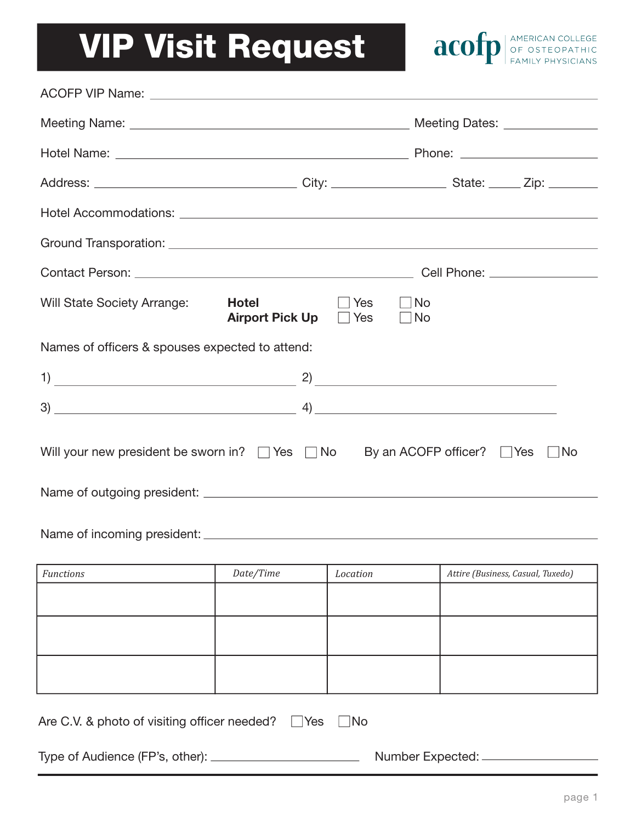## VIP Visit Request



|                                                                                                     | Hotel Accommodations: Learning and Contract and Contract and Contract and Contract and Contract and Contract and     |  |  |  |
|-----------------------------------------------------------------------------------------------------|----------------------------------------------------------------------------------------------------------------------|--|--|--|
|                                                                                                     | Ground Transporation: <u>Contract Communication</u> Contract Communication Communication Communication Communication |  |  |  |
|                                                                                                     |                                                                                                                      |  |  |  |
| Will State Society Arrange:<br><b>Hotel Example</b>                                                 | $\Box$ Yes<br>$\neg$ No<br>Airport Pick Up Pes<br>  No                                                               |  |  |  |
| Names of officers & spouses expected to attend:                                                     |                                                                                                                      |  |  |  |
|                                                                                                     |                                                                                                                      |  |  |  |
|                                                                                                     |                                                                                                                      |  |  |  |
| Will your new president be sworn in? $\Box$ Yes $\Box$ No By an ACOFP officer? $\Box$ Yes $\Box$ No |                                                                                                                      |  |  |  |
|                                                                                                     |                                                                                                                      |  |  |  |

Name of incoming president: \_\_\_\_\_\_\_\_\_\_\_\_

| Functions | Date/Time | Location | Attire (Business, Casual, Tuxedo) |
|-----------|-----------|----------|-----------------------------------|
|           |           |          |                                   |
|           |           |          |                                   |
|           |           |          |                                   |
|           |           |          |                                   |
|           |           |          |                                   |
|           |           |          |                                   |

| Type of Audience (FP's, other): | Number Expected: |
|---------------------------------|------------------|